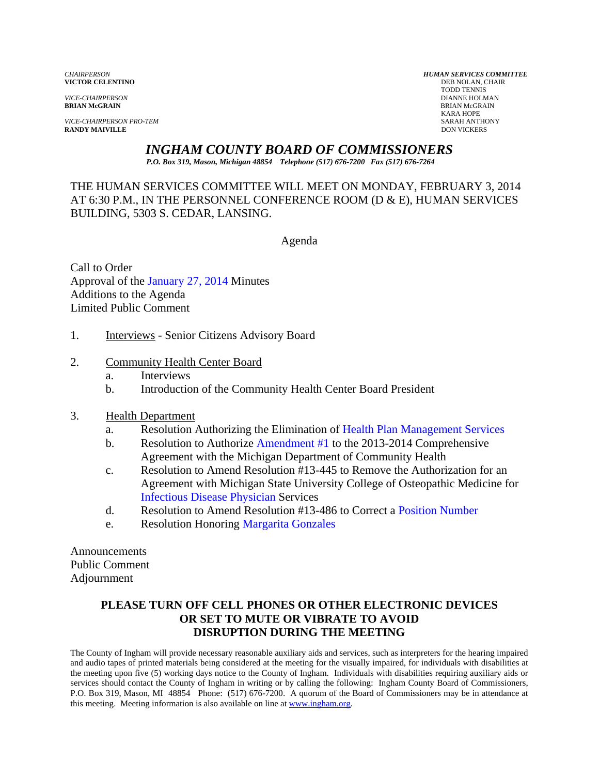**VICTOR CELENTINO** 

*VICE-CHAIRPERSON PRO-TEM* SARAH ANTHONY **RANDY MAIVILLE** 

*CHAIRPERSON HUMAN SERVICES COMMITTEE* TODD TENNIS *VICE-CHAIRPERSON* DIANNE HOLMAN **BRIAN McGRAIN** BRIAN McGRAIN KARA HOPE

# *INGHAM COUNTY BOARD OF COMMISSIONERS*

*P.O. Box 319, Mason, Michigan 48854 Telephone (517) 676-7200 Fax (517) 676-7264*

THE HUMAN SERVICES COMMITTEE WILL MEET ON MONDAY, FEBRUARY 3, 2014 AT 6:30 P.M., IN THE PERSONNEL CONFERENCE ROOM (D & E), HUMAN SERVICES BUILDING, 5303 S. CEDAR, LANSING.

Agenda

Call to Order Approval o[f the January 27, 2014 Minutes](#page-1-0)  Additions to the Agenda Limited Public Comment

- 1. **Interviews** Senior Citizens Advisory Board
- 2. Community Health Center Board
	- a. Interviews
	- b. Introduction of the Community Health Center Board President
- 3. Health Department
	- a. Resolution Authorizing the Elimination [of Health Plan Management Services](#page-7-0)
	- b. Resolution to Authoriz[e Amendment #1](#page-9-0) to the 2013-2014 Comprehensive Agreement with the Michigan Department of Community Health
	- c. Resolution to Amend Resolution #13-445 to Remove the Authorization for an Agreement with Michigan State University College of Osteopathic Medicine for [Infectious Disease Physician Servic](#page-11-0)es
	- d. Resolution to Amend Resolution #13-486 to Correc[t a Position Number](#page-13-0)
	- e. Resolution Honor[ing Margarita Gonzales](#page-15-0)

Announcements Public Comment Adjournment

# **PLEASE TURN OFF CELL PHONES OR OTHER ELECTRONIC DEVICES OR SET TO MUTE OR VIBRATE TO AVOID DISRUPTION DURING THE MEETING**

The County of Ingham will provide necessary reasonable auxiliary aids and services, such as interpreters for the hearing impaired and audio tapes of printed materials being considered at the meeting for the visually impaired, for individuals with disabilities at the meeting upon five (5) working days notice to the County of Ingham. Individuals with disabilities requiring auxiliary aids or services should contact the County of Ingham in writing or by calling the following: Ingham County Board of Commissioners, P.O. Box 319, Mason, MI 48854 Phone: (517) 676-7200. A quorum of the Board of Commissioners may be in attendance at this meeting. Meeting information is also available on line at www.ingham.org.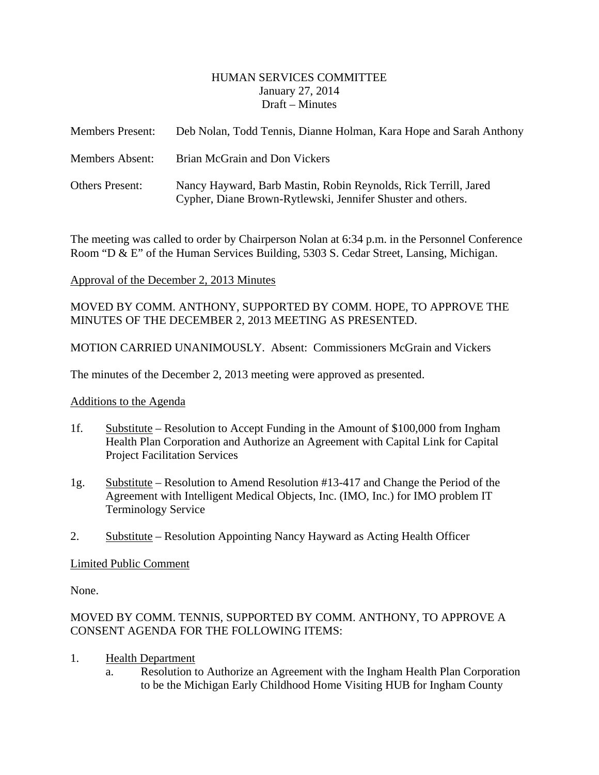### HUMAN SERVICES COMMITTEE January 27, 2014 Draft – Minutes

<span id="page-1-0"></span>

| <b>Members Present:</b> | Deb Nolan, Todd Tennis, Dianne Holman, Kara Hope and Sarah Anthony                                                             |
|-------------------------|--------------------------------------------------------------------------------------------------------------------------------|
| <b>Members Absent:</b>  | Brian McGrain and Don Vickers                                                                                                  |
| <b>Others Present:</b>  | Nancy Hayward, Barb Mastin, Robin Reynolds, Rick Terrill, Jared<br>Cypher, Diane Brown-Rytlewski, Jennifer Shuster and others. |

The meeting was called to order by Chairperson Nolan at 6:34 p.m. in the Personnel Conference Room "D & E" of the Human Services Building, 5303 S. Cedar Street, Lansing, Michigan.

### Approval of the December 2, 2013 Minutes

### MOVED BY COMM. ANTHONY, SUPPORTED BY COMM. HOPE, TO APPROVE THE MINUTES OF THE DECEMBER 2, 2013 MEETING AS PRESENTED.

MOTION CARRIED UNANIMOUSLY. Absent: Commissioners McGrain and Vickers

The minutes of the December 2, 2013 meeting were approved as presented.

### Additions to the Agenda

- 1f. Substitute Resolution to Accept Funding in the Amount of \$100,000 from Ingham Health Plan Corporation and Authorize an Agreement with Capital Link for Capital Project Facilitation Services
- 1g. Substitute Resolution to Amend Resolution #13-417 and Change the Period of the Agreement with Intelligent Medical Objects, Inc. (IMO, Inc.) for IMO problem IT Terminology Service
- 2. Substitute Resolution Appointing Nancy Hayward as Acting Health Officer

### Limited Public Comment

None.

# MOVED BY COMM. TENNIS, SUPPORTED BY COMM. ANTHONY, TO APPROVE A CONSENT AGENDA FOR THE FOLLOWING ITEMS:

- 1. Health Department
	- a. Resolution to Authorize an Agreement with the Ingham Health Plan Corporation to be the Michigan Early Childhood Home Visiting HUB for Ingham County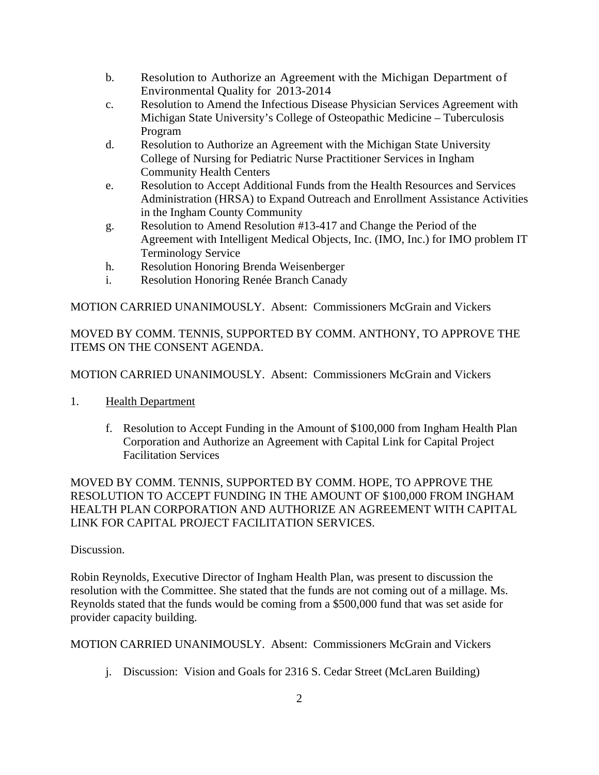- b. Resolution to Authorize an Agreement with the Michigan Department of Environmental Quality for 2013-2014
- c. Resolution to Amend the Infectious Disease Physician Services Agreement with Michigan State University's College of Osteopathic Medicine – Tuberculosis Program
- d. Resolution to Authorize an Agreement with the Michigan State University College of Nursing for Pediatric Nurse Practitioner Services in Ingham Community Health Centers
- e. Resolution to Accept Additional Funds from the Health Resources and Services Administration (HRSA) to Expand Outreach and Enrollment Assistance Activities in the Ingham County Community
- g. Resolution to Amend Resolution #13-417 and Change the Period of the Agreement with Intelligent Medical Objects, Inc. (IMO, Inc.) for IMO problem IT Terminology Service
- h. Resolution Honoring Brenda Weisenberger
- i. Resolution Honoring Renée Branch Canady

MOTION CARRIED UNANIMOUSLY. Absent: Commissioners McGrain and Vickers

MOVED BY COMM. TENNIS, SUPPORTED BY COMM. ANTHONY, TO APPROVE THE ITEMS ON THE CONSENT AGENDA.

MOTION CARRIED UNANIMOUSLY. Absent: Commissioners McGrain and Vickers

- 1. Health Department
	- f. Resolution to Accept Funding in the Amount of \$100,000 from Ingham Health Plan Corporation and Authorize an Agreement with Capital Link for Capital Project Facilitation Services

MOVED BY COMM. TENNIS, SUPPORTED BY COMM. HOPE, TO APPROVE THE RESOLUTION TO ACCEPT FUNDING IN THE AMOUNT OF \$100,000 FROM INGHAM HEALTH PLAN CORPORATION AND AUTHORIZE AN AGREEMENT WITH CAPITAL LINK FOR CAPITAL PROJECT FACILITATION SERVICES.

# Discussion.

Robin Reynolds, Executive Director of Ingham Health Plan, was present to discussion the resolution with the Committee. She stated that the funds are not coming out of a millage. Ms. Reynolds stated that the funds would be coming from a \$500,000 fund that was set aside for provider capacity building.

MOTION CARRIED UNANIMOUSLY. Absent: Commissioners McGrain and Vickers

j. Discussion: Vision and Goals for 2316 S. Cedar Street (McLaren Building)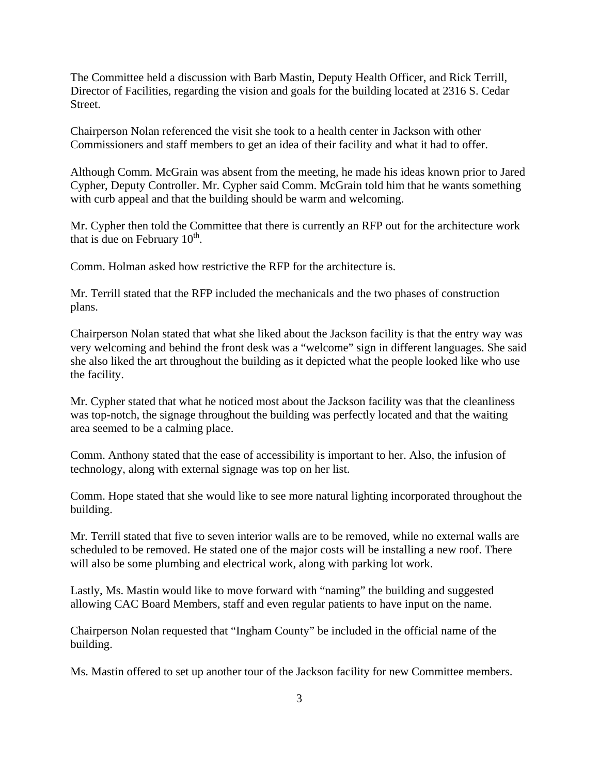The Committee held a discussion with Barb Mastin, Deputy Health Officer, and Rick Terrill, Director of Facilities, regarding the vision and goals for the building located at 2316 S. Cedar Street.

Chairperson Nolan referenced the visit she took to a health center in Jackson with other Commissioners and staff members to get an idea of their facility and what it had to offer.

Although Comm. McGrain was absent from the meeting, he made his ideas known prior to Jared Cypher, Deputy Controller. Mr. Cypher said Comm. McGrain told him that he wants something with curb appeal and that the building should be warm and welcoming.

Mr. Cypher then told the Committee that there is currently an RFP out for the architecture work that is due on February  $10^{th}$ .

Comm. Holman asked how restrictive the RFP for the architecture is.

Mr. Terrill stated that the RFP included the mechanicals and the two phases of construction plans.

Chairperson Nolan stated that what she liked about the Jackson facility is that the entry way was very welcoming and behind the front desk was a "welcome" sign in different languages. She said she also liked the art throughout the building as it depicted what the people looked like who use the facility.

Mr. Cypher stated that what he noticed most about the Jackson facility was that the cleanliness was top-notch, the signage throughout the building was perfectly located and that the waiting area seemed to be a calming place.

Comm. Anthony stated that the ease of accessibility is important to her. Also, the infusion of technology, along with external signage was top on her list.

Comm. Hope stated that she would like to see more natural lighting incorporated throughout the building.

Mr. Terrill stated that five to seven interior walls are to be removed, while no external walls are scheduled to be removed. He stated one of the major costs will be installing a new roof. There will also be some plumbing and electrical work, along with parking lot work.

Lastly, Ms. Mastin would like to move forward with "naming" the building and suggested allowing CAC Board Members, staff and even regular patients to have input on the name.

Chairperson Nolan requested that "Ingham County" be included in the official name of the building.

Ms. Mastin offered to set up another tour of the Jackson facility for new Committee members.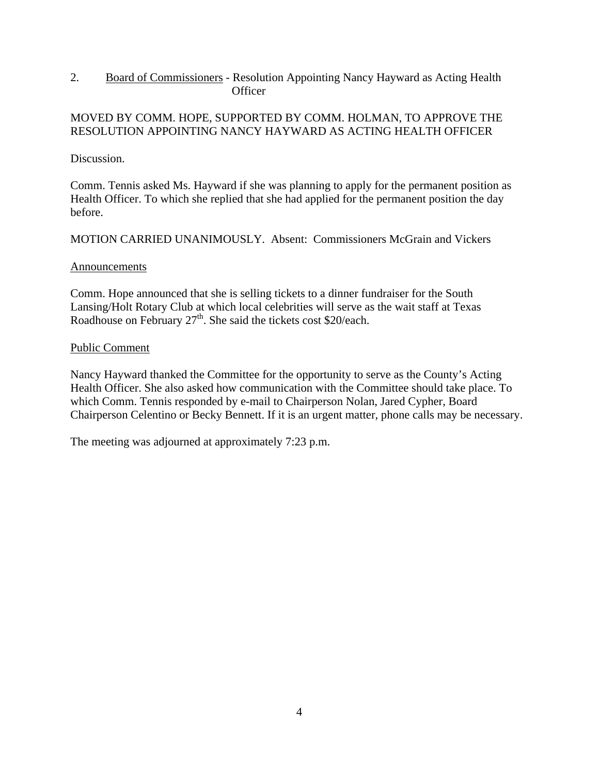2. Board of Commissioners - Resolution Appointing Nancy Hayward as Acting Health **Officer** 

### MOVED BY COMM. HOPE, SUPPORTED BY COMM. HOLMAN, TO APPROVE THE RESOLUTION APPOINTING NANCY HAYWARD AS ACTING HEALTH OFFICER

Discussion.

Comm. Tennis asked Ms. Hayward if she was planning to apply for the permanent position as Health Officer. To which she replied that she had applied for the permanent position the day before.

MOTION CARRIED UNANIMOUSLY. Absent: Commissioners McGrain and Vickers

#### Announcements

Comm. Hope announced that she is selling tickets to a dinner fundraiser for the South Lansing/Holt Rotary Club at which local celebrities will serve as the wait staff at Texas Roadhouse on February  $27<sup>th</sup>$ . She said the tickets cost \$20/each.

#### Public Comment

Nancy Hayward thanked the Committee for the opportunity to serve as the County's Acting Health Officer. She also asked how communication with the Committee should take place. To which Comm. Tennis responded by e-mail to Chairperson Nolan, Jared Cypher, Board Chairperson Celentino or Becky Bennett. If it is an urgent matter, phone calls may be necessary.

The meeting was adjourned at approximately 7:23 p.m.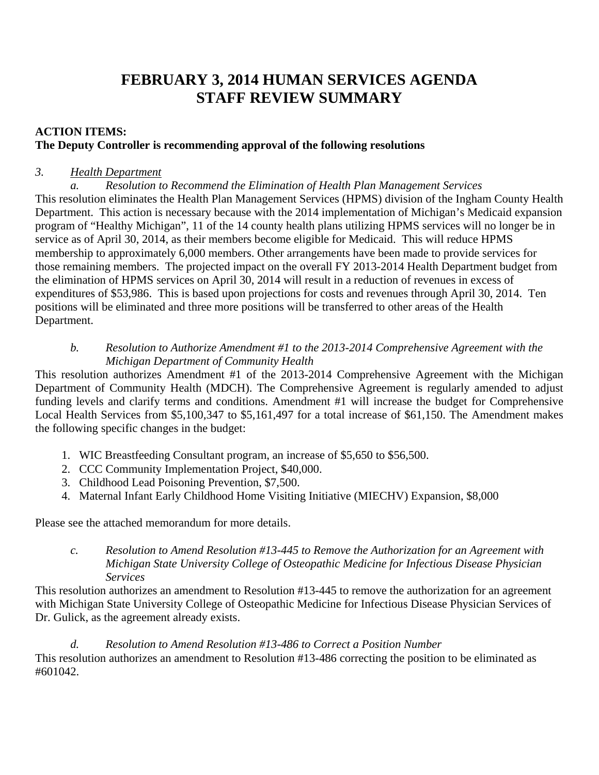# **FEBRUARY 3, 2014 HUMAN SERVICES AGENDA STAFF REVIEW SUMMARY**

# **ACTION ITEMS: The Deputy Controller is recommending approval of the following resolutions**

# *3. Health Department*

 *a. Resolution to Recommend the Elimination of Health Plan Management Services*  This resolution eliminates the Health Plan Management Services (HPMS) division of the Ingham County Health Department. This action is necessary because with the 2014 implementation of Michigan's Medicaid expansion program of "Healthy Michigan", 11 of the 14 county health plans utilizing HPMS services will no longer be in service as of April 30, 2014, as their members become eligible for Medicaid. This will reduce HPMS membership to approximately 6,000 members. Other arrangements have been made to provide services for those remaining members. The projected impact on the overall FY 2013-2014 Health Department budget from the elimination of HPMS services on April 30, 2014 will result in a reduction of revenues in excess of expenditures of \$53,986. This is based upon projections for costs and revenues through April 30, 2014. Ten positions will be eliminated and three more positions will be transferred to other areas of the Health Department.

# *b. Resolution to Authorize Amendment #1 to the 2013-2014 Comprehensive Agreement with the Michigan Department of Community Health*

This resolution authorizes Amendment #1 of the 2013-2014 Comprehensive Agreement with the Michigan Department of Community Health (MDCH). The Comprehensive Agreement is regularly amended to adjust funding levels and clarify terms and conditions. Amendment #1 will increase the budget for Comprehensive Local Health Services from \$5,100,347 to \$5,161,497 for a total increase of \$61,150. The Amendment makes the following specific changes in the budget:

- 1. WIC Breastfeeding Consultant program, an increase of \$5,650 to \$56,500.
- 2. CCC Community Implementation Project, \$40,000.
- 3. Childhood Lead Poisoning Prevention, \$7,500.
- 4. Maternal Infant Early Childhood Home Visiting Initiative (MIECHV) Expansion, \$8,000

Please see the attached memorandum for more details.

*c. Resolution to Amend Resolution #13-445 to Remove the Authorization for an Agreement with Michigan State University College of Osteopathic Medicine for Infectious Disease Physician Services* 

This resolution authorizes an amendment to Resolution #13-445 to remove the authorization for an agreement with Michigan State University College of Osteopathic Medicine for Infectious Disease Physician Services of Dr. Gulick, as the agreement already exists.

*d. Resolution to Amend Resolution #13-486 to Correct a Position Number*  This resolution authorizes an amendment to Resolution #13-486 correcting the position to be eliminated as #601042.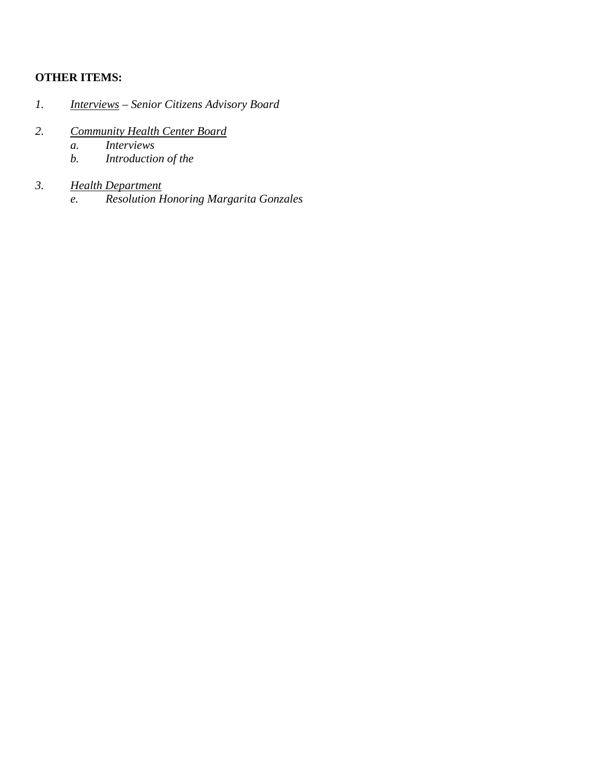# **OTHER ITEMS:**

- *1. Interviews Senior Citizens Advisory Board*
- *2. Community Health Center Board* 
	- *a. Interviews*
	- *b. Introduction of the*

# *3. Health Department*

*e. Resolution Honoring Margarita Gonzales*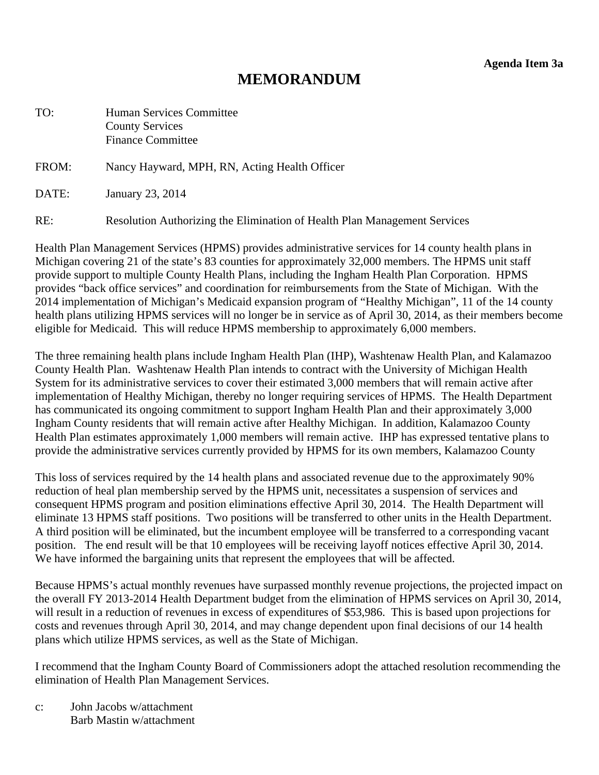**Agenda Item 3a** 

# **MEMORANDUM**

<span id="page-7-0"></span>

| TO:   | <b>Human Services Committee</b><br><b>County Services</b><br><b>Finance Committee</b> |
|-------|---------------------------------------------------------------------------------------|
| FROM: | Nancy Hayward, MPH, RN, Acting Health Officer                                         |
| DATE: | January 23, 2014                                                                      |
| RE:   | Resolution Authorizing the Elimination of Health Plan Management Services             |

Health Plan Management Services (HPMS) provides administrative services for 14 county health plans in Michigan covering 21 of the state's 83 counties for approximately 32,000 members. The HPMS unit staff provide support to multiple County Health Plans, including the Ingham Health Plan Corporation. HPMS provides "back office services" and coordination for reimbursements from the State of Michigan. With the 2014 implementation of Michigan's Medicaid expansion program of "Healthy Michigan", 11 of the 14 county health plans utilizing HPMS services will no longer be in service as of April 30, 2014, as their members become eligible for Medicaid. This will reduce HPMS membership to approximately 6,000 members.

The three remaining health plans include Ingham Health Plan (IHP), Washtenaw Health Plan, and Kalamazoo County Health Plan. Washtenaw Health Plan intends to contract with the University of Michigan Health System for its administrative services to cover their estimated 3,000 members that will remain active after implementation of Healthy Michigan, thereby no longer requiring services of HPMS. The Health Department has communicated its ongoing commitment to support Ingham Health Plan and their approximately 3,000 Ingham County residents that will remain active after Healthy Michigan. In addition, Kalamazoo County Health Plan estimates approximately 1,000 members will remain active. IHP has expressed tentative plans to provide the administrative services currently provided by HPMS for its own members, Kalamazoo County

This loss of services required by the 14 health plans and associated revenue due to the approximately 90% reduction of heal plan membership served by the HPMS unit, necessitates a suspension of services and consequent HPMS program and position eliminations effective April 30, 2014. The Health Department will eliminate 13 HPMS staff positions. Two positions will be transferred to other units in the Health Department. A third position will be eliminated, but the incumbent employee will be transferred to a corresponding vacant position. The end result will be that 10 employees will be receiving layoff notices effective April 30, 2014. We have informed the bargaining units that represent the employees that will be affected.

Because HPMS's actual monthly revenues have surpassed monthly revenue projections, the projected impact on the overall FY 2013-2014 Health Department budget from the elimination of HPMS services on April 30, 2014, will result in a reduction of revenues in excess of expenditures of \$53,986. This is based upon projections for costs and revenues through April 30, 2014, and may change dependent upon final decisions of our 14 health plans which utilize HPMS services, as well as the State of Michigan.

I recommend that the Ingham County Board of Commissioners adopt the attached resolution recommending the elimination of Health Plan Management Services.

c: John Jacobs w/attachment Barb Mastin w/attachment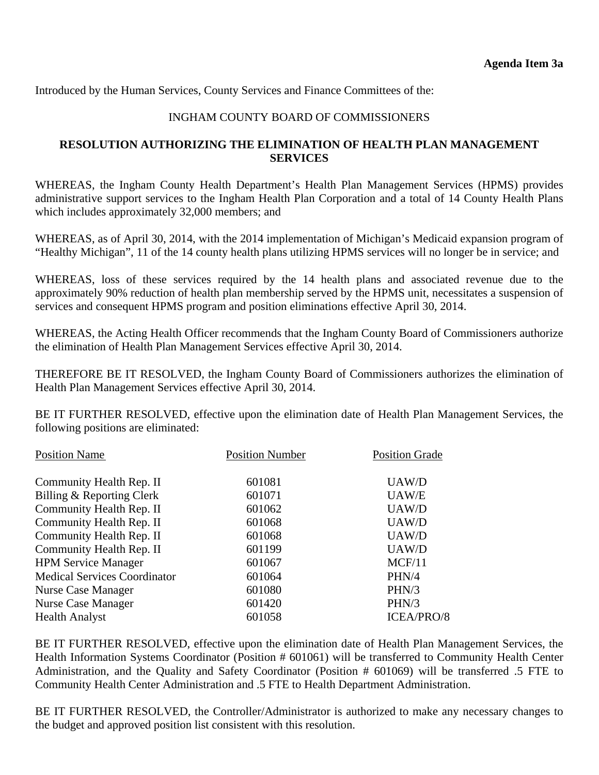Introduced by the Human Services, County Services and Finance Committees of the:

### INGHAM COUNTY BOARD OF COMMISSIONERS

# **RESOLUTION AUTHORIZING THE ELIMINATION OF HEALTH PLAN MANAGEMENT SERVICES**

WHEREAS, the Ingham County Health Department's Health Plan Management Services (HPMS) provides administrative support services to the Ingham Health Plan Corporation and a total of 14 County Health Plans which includes approximately 32,000 members; and

WHEREAS, as of April 30, 2014, with the 2014 implementation of Michigan's Medicaid expansion program of "Healthy Michigan", 11 of the 14 county health plans utilizing HPMS services will no longer be in service; and

WHEREAS, loss of these services required by the 14 health plans and associated revenue due to the approximately 90% reduction of health plan membership served by the HPMS unit, necessitates a suspension of services and consequent HPMS program and position eliminations effective April 30, 2014.

WHEREAS, the Acting Health Officer recommends that the Ingham County Board of Commissioners authorize the elimination of Health Plan Management Services effective April 30, 2014.

THEREFORE BE IT RESOLVED, the Ingham County Board of Commissioners authorizes the elimination of Health Plan Management Services effective April 30, 2014.

BE IT FURTHER RESOLVED, effective upon the elimination date of Health Plan Management Services, the following positions are eliminated:

| <b>Position Name</b>                | <b>Position Number</b> | <b>Position Grade</b> |
|-------------------------------------|------------------------|-----------------------|
| Community Health Rep. II            | 601081                 | UAW/D                 |
| Billing & Reporting Clerk           | 601071                 | UAW/E                 |
| Community Health Rep. II            | 601062                 | UAW/D                 |
| Community Health Rep. II            | 601068                 | UAW/D                 |
| Community Health Rep. II            | 601068                 | UAW/D                 |
| Community Health Rep. II            | 601199                 | UAW/D                 |
| <b>HPM Service Manager</b>          | 601067                 | MCF/11                |
| <b>Medical Services Coordinator</b> | 601064                 | PHN/4                 |
| <b>Nurse Case Manager</b>           | 601080                 | PHN/3                 |
| <b>Nurse Case Manager</b>           | 601420                 | PHN/3                 |
| <b>Health Analyst</b>               | 601058                 | ICEA/PRO/8            |

BE IT FURTHER RESOLVED, effective upon the elimination date of Health Plan Management Services, the Health Information Systems Coordinator (Position # 601061) will be transferred to Community Health Center Administration, and the Quality and Safety Coordinator (Position # 601069) will be transferred .5 FTE to Community Health Center Administration and .5 FTE to Health Department Administration.

BE IT FURTHER RESOLVED, the Controller/Administrator is authorized to make any necessary changes to the budget and approved position list consistent with this resolution.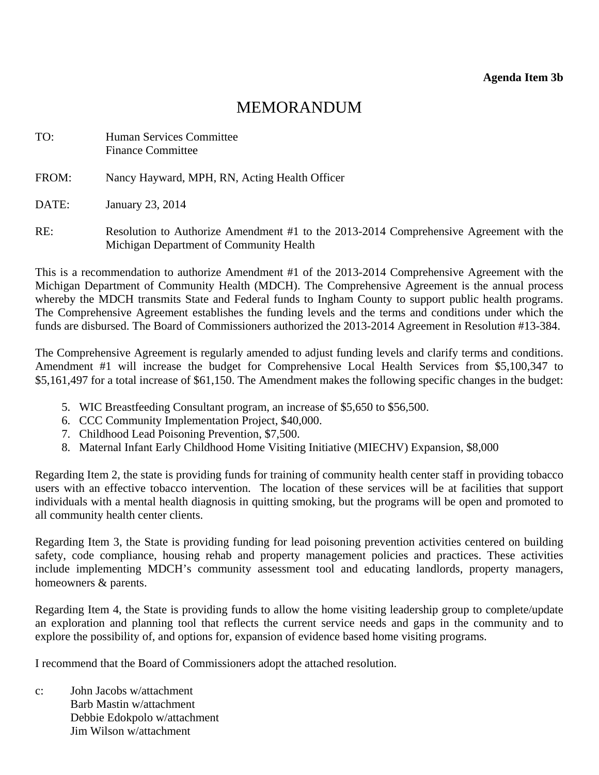# MEMORANDUM

<span id="page-9-0"></span>

| TO:   | <b>Human Services Committee</b><br><b>Finance Committee</b>                                                                       |
|-------|-----------------------------------------------------------------------------------------------------------------------------------|
| FROM: | Nancy Hayward, MPH, RN, Acting Health Officer                                                                                     |
| DATE: | January 23, 2014                                                                                                                  |
| RE:   | Resolution to Authorize Amendment #1 to the 2013-2014 Comprehensive Agreement with the<br>Michigan Department of Community Health |

This is a recommendation to authorize Amendment #1 of the 2013-2014 Comprehensive Agreement with the Michigan Department of Community Health (MDCH). The Comprehensive Agreement is the annual process whereby the MDCH transmits State and Federal funds to Ingham County to support public health programs. The Comprehensive Agreement establishes the funding levels and the terms and conditions under which the funds are disbursed. The Board of Commissioners authorized the 2013-2014 Agreement in Resolution #13-384.

The Comprehensive Agreement is regularly amended to adjust funding levels and clarify terms and conditions. Amendment #1 will increase the budget for Comprehensive Local Health Services from \$5,100,347 to \$5,161,497 for a total increase of \$61,150. The Amendment makes the following specific changes in the budget:

- 5. WIC Breastfeeding Consultant program, an increase of \$5,650 to \$56,500.
- 6. CCC Community Implementation Project, \$40,000.
- 7. Childhood Lead Poisoning Prevention, \$7,500.
- 8. Maternal Infant Early Childhood Home Visiting Initiative (MIECHV) Expansion, \$8,000

Regarding Item 2, the state is providing funds for training of community health center staff in providing tobacco users with an effective tobacco intervention. The location of these services will be at facilities that support individuals with a mental health diagnosis in quitting smoking, but the programs will be open and promoted to all community health center clients.

Regarding Item 3, the State is providing funding for lead poisoning prevention activities centered on building safety, code compliance, housing rehab and property management policies and practices. These activities include implementing MDCH's community assessment tool and educating landlords, property managers, homeowners & parents.

Regarding Item 4, the State is providing funds to allow the home visiting leadership group to complete/update an exploration and planning tool that reflects the current service needs and gaps in the community and to explore the possibility of, and options for, expansion of evidence based home visiting programs.

I recommend that the Board of Commissioners adopt the attached resolution.

c: John Jacobs w/attachment Barb Mastin w/attachment Debbie Edokpolo w/attachment Jim Wilson w/attachment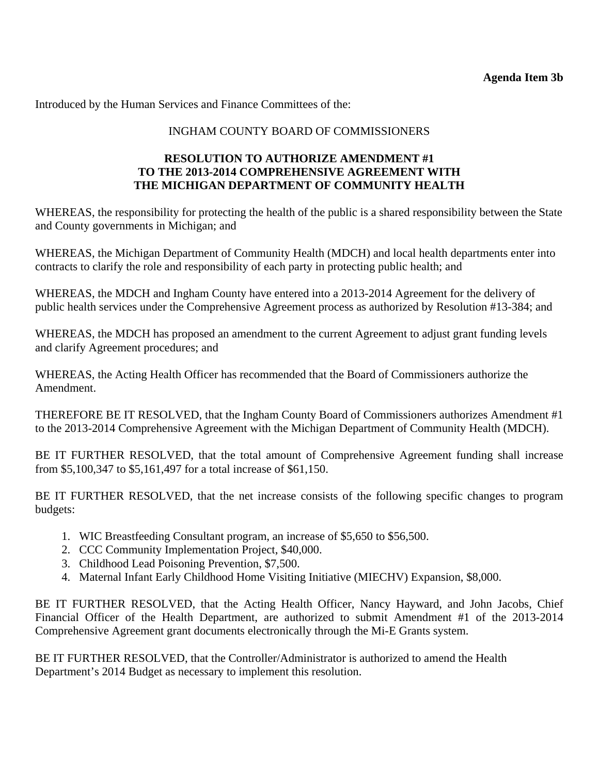Introduced by the Human Services and Finance Committees of the:

# INGHAM COUNTY BOARD OF COMMISSIONERS

### **RESOLUTION TO AUTHORIZE AMENDMENT #1 TO THE 2013-2014 COMPREHENSIVE AGREEMENT WITH THE MICHIGAN DEPARTMENT OF COMMUNITY HEALTH**

WHEREAS, the responsibility for protecting the health of the public is a shared responsibility between the State and County governments in Michigan; and

WHEREAS, the Michigan Department of Community Health (MDCH) and local health departments enter into contracts to clarify the role and responsibility of each party in protecting public health; and

WHEREAS, the MDCH and Ingham County have entered into a 2013-2014 Agreement for the delivery of public health services under the Comprehensive Agreement process as authorized by Resolution #13-384; and

WHEREAS, the MDCH has proposed an amendment to the current Agreement to adjust grant funding levels and clarify Agreement procedures; and

WHEREAS, the Acting Health Officer has recommended that the Board of Commissioners authorize the Amendment.

THEREFORE BE IT RESOLVED, that the Ingham County Board of Commissioners authorizes Amendment #1 to the 2013-2014 Comprehensive Agreement with the Michigan Department of Community Health (MDCH).

BE IT FURTHER RESOLVED, that the total amount of Comprehensive Agreement funding shall increase from \$5,100,347 to \$5,161,497 for a total increase of \$61,150.

BE IT FURTHER RESOLVED, that the net increase consists of the following specific changes to program budgets:

- 1. WIC Breastfeeding Consultant program, an increase of \$5,650 to \$56,500.
- 2. CCC Community Implementation Project, \$40,000.
- 3. Childhood Lead Poisoning Prevention, \$7,500.
- 4. Maternal Infant Early Childhood Home Visiting Initiative (MIECHV) Expansion, \$8,000.

BE IT FURTHER RESOLVED, that the Acting Health Officer, Nancy Hayward, and John Jacobs, Chief Financial Officer of the Health Department, are authorized to submit Amendment #1 of the 2013-2014 Comprehensive Agreement grant documents electronically through the Mi-E Grants system.

BE IT FURTHER RESOLVED, that the Controller/Administrator is authorized to amend the Health Department's 2014 Budget as necessary to implement this resolution.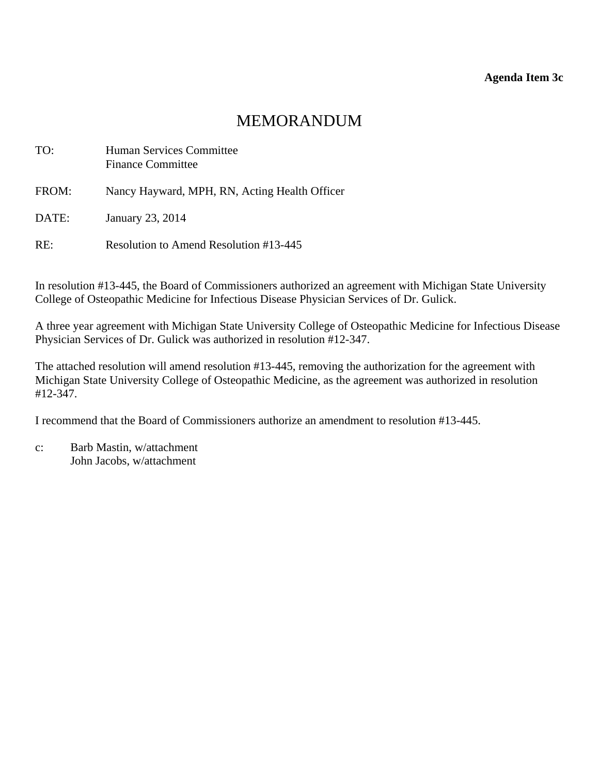# MEMORANDUM

<span id="page-11-0"></span>

| TO:   | Human Services Committee<br><b>Finance Committee</b> |
|-------|------------------------------------------------------|
| FROM: | Nancy Hayward, MPH, RN, Acting Health Officer        |
| DATE: | January 23, 2014                                     |
| RE:   | Resolution to Amend Resolution #13-445               |

In resolution #13-445, the Board of Commissioners authorized an agreement with Michigan State University College of Osteopathic Medicine for Infectious Disease Physician Services of Dr. Gulick.

A three year agreement with Michigan State University College of Osteopathic Medicine for Infectious Disease Physician Services of Dr. Gulick was authorized in resolution #12-347.

The attached resolution will amend resolution #13-445, removing the authorization for the agreement with Michigan State University College of Osteopathic Medicine, as the agreement was authorized in resolution #12-347.

I recommend that the Board of Commissioners authorize an amendment to resolution #13-445.

c: Barb Mastin, w/attachment John Jacobs, w/attachment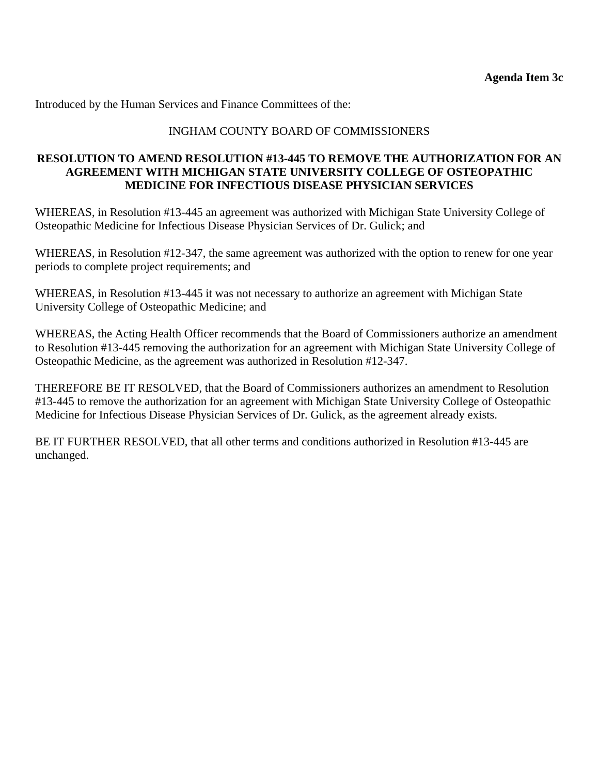Introduced by the Human Services and Finance Committees of the:

# INGHAM COUNTY BOARD OF COMMISSIONERS

### **RESOLUTION TO AMEND RESOLUTION #13-445 TO REMOVE THE AUTHORIZATION FOR AN AGREEMENT WITH MICHIGAN STATE UNIVERSITY COLLEGE OF OSTEOPATHIC MEDICINE FOR INFECTIOUS DISEASE PHYSICIAN SERVICES**

WHEREAS, in Resolution #13-445 an agreement was authorized with Michigan State University College of Osteopathic Medicine for Infectious Disease Physician Services of Dr. Gulick; and

WHEREAS, in Resolution #12-347, the same agreement was authorized with the option to renew for one year periods to complete project requirements; and

WHEREAS, in Resolution #13-445 it was not necessary to authorize an agreement with Michigan State University College of Osteopathic Medicine; and

WHEREAS, the Acting Health Officer recommends that the Board of Commissioners authorize an amendment to Resolution #13-445 removing the authorization for an agreement with Michigan State University College of Osteopathic Medicine, as the agreement was authorized in Resolution #12-347.

THEREFORE BE IT RESOLVED, that the Board of Commissioners authorizes an amendment to Resolution #13-445 to remove the authorization for an agreement with Michigan State University College of Osteopathic Medicine for Infectious Disease Physician Services of Dr. Gulick, as the agreement already exists.

BE IT FURTHER RESOLVED, that all other terms and conditions authorized in Resolution #13-445 are unchanged.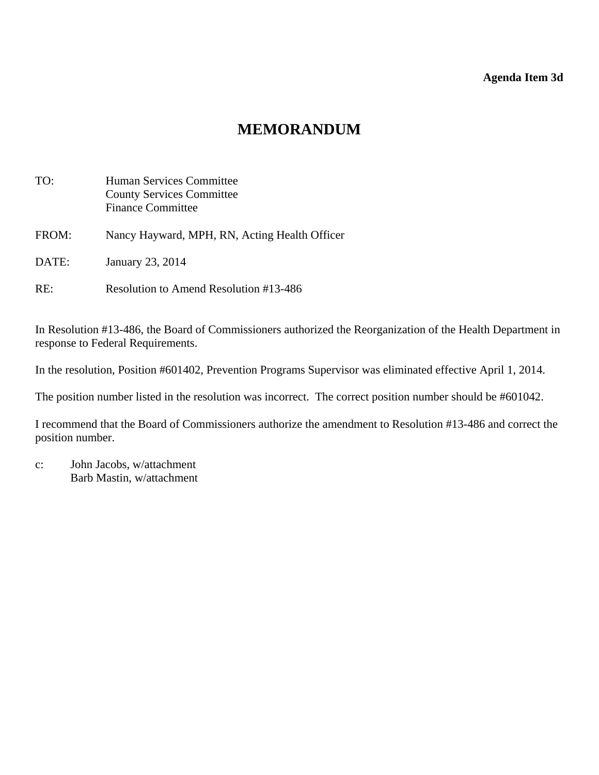### **Agenda Item 3d**

# **MEMORANDUM**

<span id="page-13-0"></span>

| TO:   | Human Services Committee<br><b>County Services Committee</b><br><b>Finance Committee</b> |
|-------|------------------------------------------------------------------------------------------|
| FROM: | Nancy Hayward, MPH, RN, Acting Health Officer                                            |
| DATE: | January 23, 2014                                                                         |
| RE:   | Resolution to Amend Resolution #13-486                                                   |

In Resolution #13-486, the Board of Commissioners authorized the Reorganization of the Health Department in response to Federal Requirements.

In the resolution, Position #601402, Prevention Programs Supervisor was eliminated effective April 1, 2014.

The position number listed in the resolution was incorrect. The correct position number should be #601042.

I recommend that the Board of Commissioners authorize the amendment to Resolution #13-486 and correct the position number.

c: John Jacobs, w/attachment Barb Mastin, w/attachment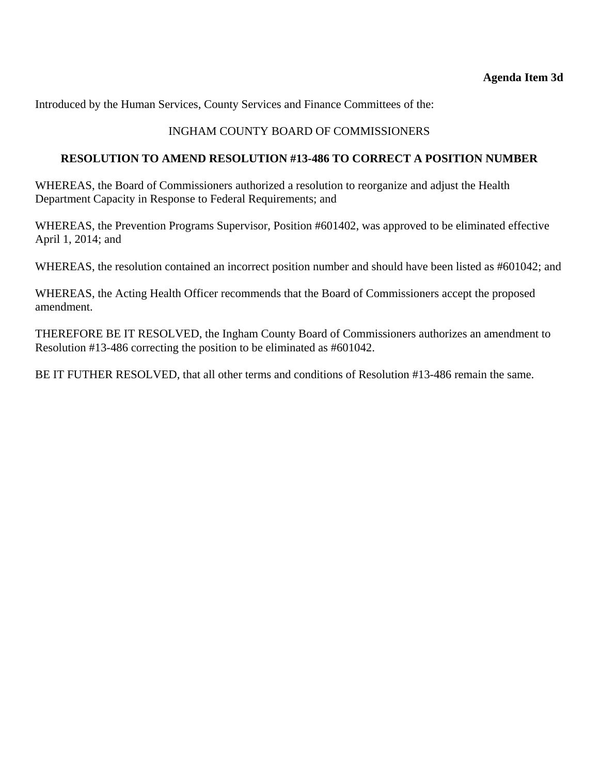Introduced by the Human Services, County Services and Finance Committees of the:

# INGHAM COUNTY BOARD OF COMMISSIONERS

### **RESOLUTION TO AMEND RESOLUTION #13-486 TO CORRECT A POSITION NUMBER**

WHEREAS, the Board of Commissioners authorized a resolution to reorganize and adjust the Health Department Capacity in Response to Federal Requirements; and

WHEREAS, the Prevention Programs Supervisor, Position #601402, was approved to be eliminated effective April 1, 2014; and

WHEREAS, the resolution contained an incorrect position number and should have been listed as #601042; and

WHEREAS, the Acting Health Officer recommends that the Board of Commissioners accept the proposed amendment.

THEREFORE BE IT RESOLVED, the Ingham County Board of Commissioners authorizes an amendment to Resolution #13-486 correcting the position to be eliminated as #601042.

BE IT FUTHER RESOLVED, that all other terms and conditions of Resolution #13-486 remain the same.